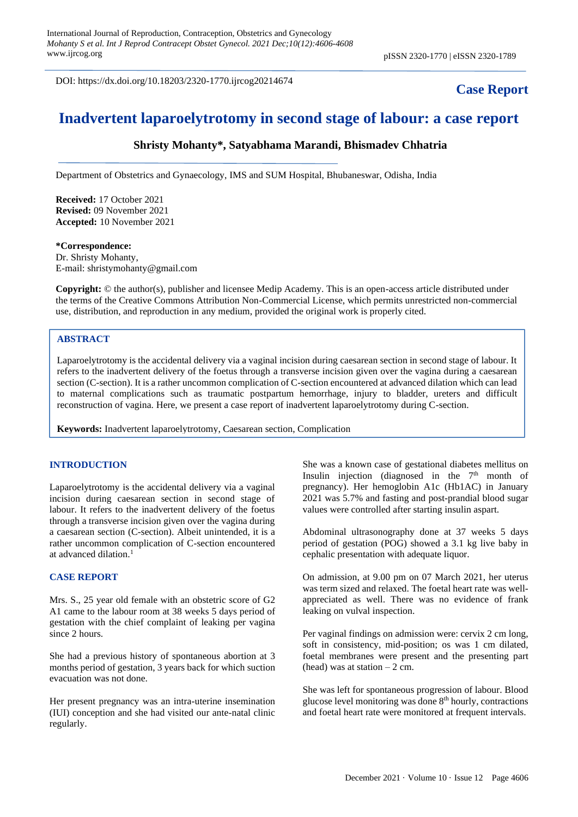DOI: https://dx.doi.org/10.18203/2320-1770.ijrcog20214674

## **Case Report**

# **Inadvertent laparoelytrotomy in second stage of labour: a case report**

## **Shristy Mohanty\*, Satyabhama Marandi, Bhismadev Chhatria**

Department of Obstetrics and Gynaecology, IMS and SUM Hospital, Bhubaneswar, Odisha, India

**Received:** 17 October 2021 **Revised:** 09 November 2021 **Accepted:** 10 November 2021

## **\*Correspondence:** Dr. Shristy Mohanty,

E-mail: shristymohanty@gmail.com

**Copyright:** © the author(s), publisher and licensee Medip Academy. This is an open-access article distributed under the terms of the Creative Commons Attribution Non-Commercial License, which permits unrestricted non-commercial use, distribution, and reproduction in any medium, provided the original work is properly cited.

## **ABSTRACT**

Laparoelytrotomy is the accidental delivery via a vaginal incision during caesarean section in second stage of labour. It refers to the inadvertent delivery of the foetus through a transverse incision given over the vagina during a caesarean section (C-section). It is a rather uncommon complication of C-section encountered at advanced dilation which can lead to maternal complications such as traumatic postpartum hemorrhage, injury to bladder, ureters and difficult reconstruction of vagina. Here, we present a case report of inadvertent laparoelytrotomy during C-section.

**Keywords:** Inadvertent laparoelytrotomy, Caesarean section, Complication

#### **INTRODUCTION**

Laparoelytrotomy is the accidental delivery via a vaginal incision during caesarean section in second stage of labour. It refers to the inadvertent delivery of the foetus through a transverse incision given over the vagina during a caesarean section (C-section). Albeit unintended, it is a rather uncommon complication of C-section encountered at advanced dilation.<sup>1</sup>

#### **CASE REPORT**

Mrs. S., 25 year old female with an obstetric score of G2 A1 came to the labour room at 38 weeks 5 days period of gestation with the chief complaint of leaking per vagina since 2 hours.

She had a previous history of spontaneous abortion at 3 months period of gestation, 3 years back for which suction evacuation was not done.

Her present pregnancy was an intra-uterine insemination (IUI) conception and she had visited our ante-natal clinic regularly.

She was a known case of gestational diabetes mellitus on Insulin injection (diagnosed in the  $7<sup>th</sup>$  month of pregnancy). Her hemoglobin A1c (Hb1AC) in January 2021 was 5.7% and fasting and post-prandial blood sugar values were controlled after starting insulin aspart.

Abdominal ultrasonography done at 37 weeks 5 days period of gestation (POG) showed a 3.1 kg live baby in cephalic presentation with adequate liquor.

On admission, at 9.00 pm on 07 March 2021, her uterus was term sized and relaxed. The foetal heart rate was wellappreciated as well. There was no evidence of frank leaking on vulval inspection.

Per vaginal findings on admission were: cervix 2 cm long, soft in consistency, mid-position; os was 1 cm dilated, foetal membranes were present and the presenting part (head) was at station  $-2$  cm.

She was left for spontaneous progression of labour. Blood glucose level monitoring was done 8<sup>th</sup> hourly, contractions and foetal heart rate were monitored at frequent intervals.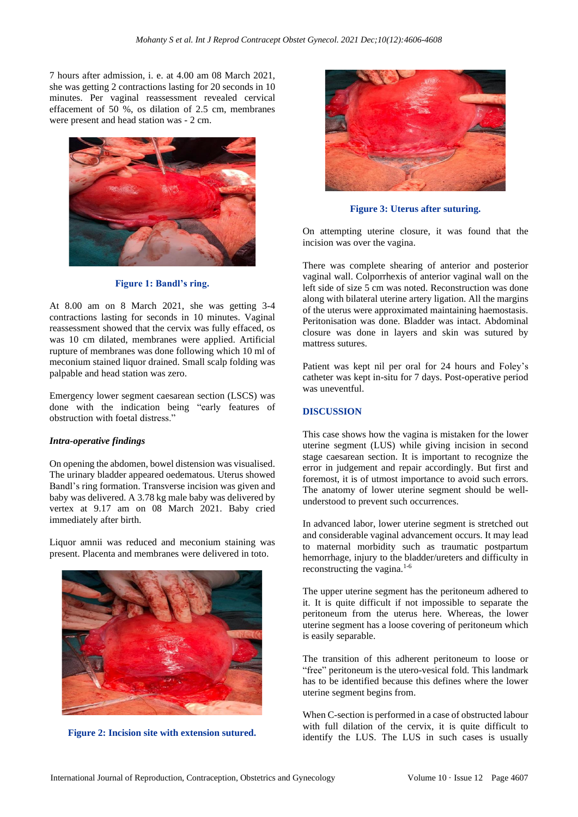7 hours after admission, i. e. at 4.00 am 08 March 2021, she was getting 2 contractions lasting for 20 seconds in 10 minutes. Per vaginal reassessment revealed cervical effacement of 50 %, os dilation of 2.5 cm, membranes were present and head station was - 2 cm.



**Figure 1: Bandl's ring.**

At 8.00 am on 8 March 2021, she was getting 3-4 contractions lasting for seconds in 10 minutes. Vaginal reassessment showed that the cervix was fully effaced, os was 10 cm dilated, membranes were applied. Artificial rupture of membranes was done following which 10 ml of meconium stained liquor drained. Small scalp folding was palpable and head station was zero.

Emergency lower segment caesarean section (LSCS) was done with the indication being "early features of obstruction with foetal distress."

#### *Intra-operative findings*

On opening the abdomen, bowel distension was visualised. The urinary bladder appeared oedematous. Uterus showed Bandl's ring formation. Transverse incision was given and baby was delivered. A 3.78 kg male baby was delivered by vertex at 9.17 am on 08 March 2021. Baby cried immediately after birth.

Liquor amnii was reduced and meconium staining was present. Placenta and membranes were delivered in toto.



**Figure 2: Incision site with extension sutured.**



**Figure 3: Uterus after suturing.**

On attempting uterine closure, it was found that the incision was over the vagina.

There was complete shearing of anterior and posterior vaginal wall. Colporrhexis of anterior vaginal wall on the left side of size 5 cm was noted. Reconstruction was done along with bilateral uterine artery ligation. All the margins of the uterus were approximated maintaining haemostasis. Peritonisation was done. Bladder was intact. Abdominal closure was done in layers and skin was sutured by mattress sutures.

Patient was kept nil per oral for 24 hours and Foley's catheter was kept in-situ for 7 days. Post-operative period was uneventful.

#### **DISCUSSION**

This case shows how the vagina is mistaken for the lower uterine segment (LUS) while giving incision in second stage caesarean section. It is important to recognize the error in judgement and repair accordingly. But first and foremost, it is of utmost importance to avoid such errors. The anatomy of lower uterine segment should be wellunderstood to prevent such occurrences.

In advanced labor, lower uterine segment is stretched out and considerable vaginal advancement occurs. It may lead to maternal morbidity such as traumatic postpartum hemorrhage, injury to the bladder/ureters and difficulty in reconstructing the vagina.<sup>1-6</sup>

The upper uterine segment has the peritoneum adhered to it. It is quite difficult if not impossible to separate the peritoneum from the uterus here. Whereas, the lower uterine segment has a loose covering of peritoneum which is easily separable.

The transition of this adherent peritoneum to loose or "free" peritoneum is the utero-vesical fold. This landmark has to be identified because this defines where the lower uterine segment begins from.

When C-section is performed in a case of obstructed labour with full dilation of the cervix, it is quite difficult to identify the LUS. The LUS in such cases is usually